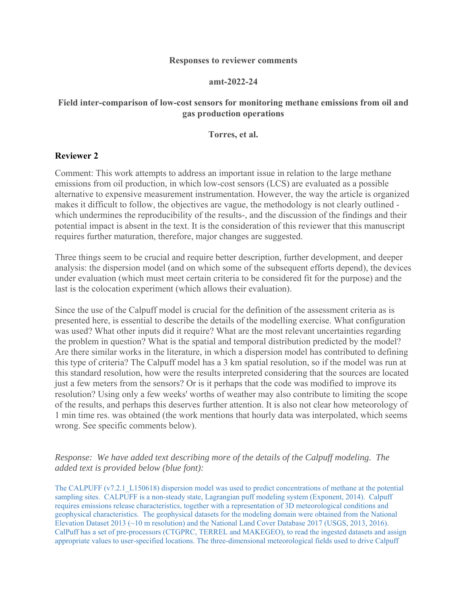#### **Responses to reviewer comments**

#### **amt-2022-24**

## **Field inter-comparison of low-cost sensors for monitoring methane emissions from oil and gas production operations**

#### **Torres, et al.**

### **Reviewer 2**

Comment: This work attempts to address an important issue in relation to the large methane emissions from oil production, in which low-cost sensors (LCS) are evaluated as a possible alternative to expensive measurement instrumentation. However, the way the article is organized makes it difficult to follow, the objectives are vague, the methodology is not clearly outlined which undermines the reproducibility of the results-, and the discussion of the findings and their potential impact is absent in the text. It is the consideration of this reviewer that this manuscript requires further maturation, therefore, major changes are suggested.

Three things seem to be crucial and require better description, further development, and deeper analysis: the dispersion model (and on which some of the subsequent efforts depend), the devices under evaluation (which must meet certain criteria to be considered fit for the purpose) and the last is the colocation experiment (which allows their evaluation).

Since the use of the Calpuff model is crucial for the definition of the assessment criteria as is presented here, is essential to describe the details of the modelling exercise. What configuration was used? What other inputs did it require? What are the most relevant uncertainties regarding the problem in question? What is the spatial and temporal distribution predicted by the model? Are there similar works in the literature, in which a dispersion model has contributed to defining this type of criteria? The Calpuff model has a 3 km spatial resolution, so if the model was run at this standard resolution, how were the results interpreted considering that the sources are located just a few meters from the sensors? Or is it perhaps that the code was modified to improve its resolution? Using only a few weeks' worths of weather may also contribute to limiting the scope of the results, and perhaps this deserves further attention. It is also not clear how meteorology of 1 min time res. was obtained (the work mentions that hourly data was interpolated, which seems wrong. See specific comments below).

# *Response: We have added text describing more of the details of the Calpuff modeling. The added text is provided below (blue font):*

The CALPUFF (v7.2.1\_L150618) dispersion model was used to predict concentrations of methane at the potential sampling sites. CALPUFF is a non-steady state, Lagrangian puff modeling system (Exponent, 2014). Calpuff requires emissions release characteristics, together with a representation of 3D meteorological conditions and geophysical characteristics. The geophysical datasets for the modeling domain were obtained from the National Elevation Dataset 2013 (~10 m resolution) and the National Land Cover Database 2017 (USGS, 2013, 2016). CalPuff has a set of pre-processors (CTGPRC, TERREL and MAKEGEO), to read the ingested datasets and assign appropriate values to user-specified locations. The three-dimensional meteorological fields used to drive Calpuff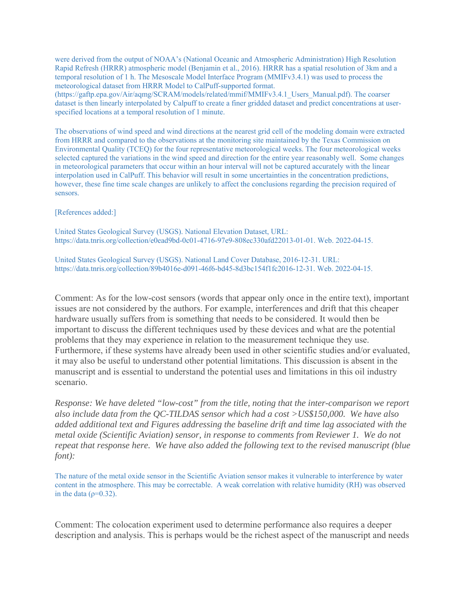were derived from the output of NOAA's (National Oceanic and Atmospheric Administration) High Resolution Rapid Refresh (HRRR) atmospheric model (Benjamin et al., 2016). HRRR has a spatial resolution of 3km and a temporal resolution of 1 h. The Mesoscale Model Interface Program (MMIFv3.4.1) was used to process the meteorological dataset from HRRR Model to CalPuff-supported format.

(https://gaftp.epa.gov/Air/aqmg/SCRAM/models/related/mmif/MMIFv3.4.1\_Users\_Manual.pdf). The coarser dataset is then linearly interpolated by Calpuff to create a finer gridded dataset and predict concentrations at userspecified locations at a temporal resolution of 1 minute.

The observations of wind speed and wind directions at the nearest grid cell of the modeling domain were extracted from HRRR and compared to the observations at the monitoring site maintained by the Texas Commission on Environmental Quality (TCEQ) for the four representative meteorological weeks. The four meteorological weeks selected captured the variations in the wind speed and direction for the entire year reasonably well. Some changes in meteorological parameters that occur within an hour interval will not be captured accurately with the linear interpolation used in CalPuff. This behavior will result in some uncertainties in the concentration predictions, however, these fine time scale changes are unlikely to affect the conclusions regarding the precision required of sensors.

[References added:]

United States Geological Survey (USGS). National Elevation Dataset, URL: https://data.tnris.org/collection/e0ead9bd-0c01-4716-97e9-808ec330afd22013-01-01. Web. 2022-04-15.

United States Geological Survey (USGS). National Land Cover Database, 2016-12-31. URL: https://data.tnris.org/collection/89b4016e-d091-46f6-bd45-8d3bc154f1fc2016-12-31. Web. 2022-04-15.

Comment: As for the low-cost sensors (words that appear only once in the entire text), important issues are not considered by the authors. For example, interferences and drift that this cheaper hardware usually suffers from is something that needs to be considered. It would then be important to discuss the different techniques used by these devices and what are the potential problems that they may experience in relation to the measurement technique they use. Furthermore, if these systems have already been used in other scientific studies and/or evaluated, it may also be useful to understand other potential limitations. This discussion is absent in the manuscript and is essential to understand the potential uses and limitations in this oil industry scenario.

*Response: We have deleted "low-cost" from the title, noting that the inter-comparison we report also include data from the QC-TILDAS sensor which had a cost >US\$150,000. We have also added additional text and Figures addressing the baseline drift and time lag associated with the metal oxide (Scientific Aviation) sensor, in response to comments from Reviewer 1. We do not repeat that response here. We have also added the following text to the revised manuscript (blue font):* 

The nature of the metal oxide sensor in the Scientific Aviation sensor makes it vulnerable to interference by water content in the atmosphere. This may be correctable. A weak correlation with relative humidity (RH) was observed in the data ( $\rho$ =0.32).

Comment: The colocation experiment used to determine performance also requires a deeper description and analysis. This is perhaps would be the richest aspect of the manuscript and needs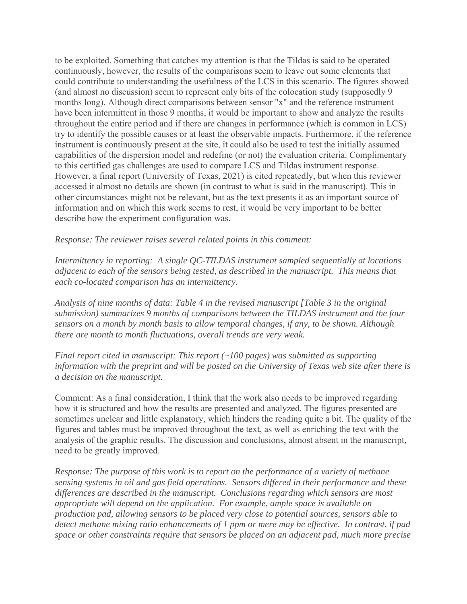to be exploited. Something that catches my attention is that the Tildas is said to be operated continuously, however, the results of the comparisons seem to leave out some elements that could contribute to understanding the usefulness of the LCS in this scenario. The figures showed (and almost no discussion) seem to represent only bits of the colocation study (supposedly 9 months long). Although direct comparisons between sensor "x" and the reference instrument have been intermittent in those 9 months, it would be important to show and analyze the results throughout the entire period and if there are changes in performance (which is common in LCS) try to identify the possible causes or at least the observable impacts. Furthermore, if the reference instrument is continuously present at the site, it could also be used to test the initially assumed capabilities of the dispersion model and redefine (or not) the evaluation criteria. Complimentary to this certified gas challenges are used to compare LCS and Tildas instrument response. However, a final report (University of Texas, 2021) is cited repeatedly, but when this reviewer accessed it almost no details are shown (in contrast to what is said in the manuscript). This in other circumstances might not be relevant, but as the text presents it as an important source of information and on which this work seems to rest, it would be very important to be better describe how the experiment configuration was.

*Response: The reviewer raises several related points in this comment:* 

*Intermittency in reporting: A single QC-TILDAS instrument sampled sequentially at locations adjacent to each of the sensors being tested, as described in the manuscript. This means that each co-located comparison has an intermittency.* 

*Analysis of nine months of data: Table 4 in the revised manuscript [Table 3 in the original submission) summarizes 9 months of comparisons between the TILDAS instrument and the four sensors on a month by month basis to allow temporal changes, if any, to be shown. Although there are month to month fluctuations, overall trends are very weak.*

*Final report cited in manuscript: This report (~100 pages) was submitted as supporting information with the preprint and will be posted on the University of Texas web site after there is a decision on the manuscript.* 

Comment: As a final consideration, I think that the work also needs to be improved regarding how it is structured and how the results are presented and analyzed. The figures presented are sometimes unclear and little explanatory, which hinders the reading quite a bit. The quality of the figures and tables must be improved throughout the text, as well as enriching the text with the analysis of the graphic results. The discussion and conclusions, almost absent in the manuscript, need to be greatly improved.

*Response: The purpose of this work is to report on the performance of a variety of methane sensing systems in oil and gas field operations. Sensors differed in their performance and these differences are described in the manuscript. Conclusions regarding which sensors are most appropriate will depend on the application. For example, ample space is available on production pad, allowing sensors to be placed very close to potential sources, sensors able to detect methane mixing ratio enhancements of 1 ppm or mere may be effective. In contrast, if pad space or other constraints require that sensors be placed on an adjacent pad, much more precise*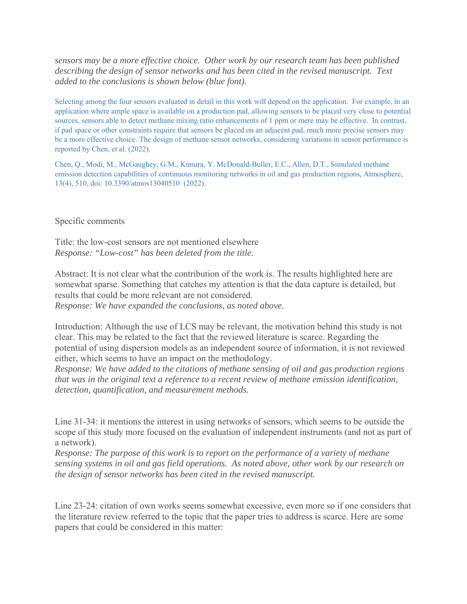*sensors may be a more effective choice. Other work by our research team has been published describing the design of sensor networks and has been cited in the revised manuscript. Text added to the conclusions is shown below (blue font).* 

Selecting among the four sensors evaluated in detail in this work will depend on the application. For example, in an application where ample space is available on a production pad, allowing sensors to be placed very close to potential sources, sensors able to detect methane mixing ratio enhancements of 1 ppm or mere may be effective. In contrast, if pad space or other constraints require that sensors be placed on an adjacent pad, much more precise sensors may be a more effective choice. The design of methane sensor networks, considering variations in sensor performance is reported by Chen, et al. (2022).

Chen, Q., Modi, M., McGaughey, G.M., Kimura, Y. McDonald-Buller, E.C., Allen, D.T., Simulated methane emission detection capabilities of continuous monitoring networks in oil and gas production regions, Atmosphere, 13(4), 510, doi: 10.3390/atmos13040510 (2022).

Specific comments

Title: the low-cost sensors are not mentioned elsewhere *Response: "Low-cost" has been deleted from the title.* 

Abstract: It is not clear what the contribution of the work is. The results highlighted here are somewhat sparse. Something that catches my attention is that the data capture is detailed, but results that could be more relevant are not considered.

*Response: We have expanded the conclusions, as noted above.* 

Introduction: Although the use of LCS may be relevant, the motivation behind this study is not clear. This may be related to the fact that the reviewed literature is scarce. Regarding the potential of using dispersion models as an independent source of information, it is not reviewed either, which seems to have an impact on the methodology.

*Response: We have added to the citations of methane sensing of oil and gas production regions that was in the original text a reference to a recent review of methane emission identification, detection, quantification, and measurement methods.* 

Line 31-34: it mentions the interest in using networks of sensors, which seems to be outside the scope of this study more focused on the evaluation of independent instruments (and not as part of a network).

*Response: The purpose of this work is to report on the performance of a variety of methane sensing systems in oil and gas field operations. As noted above, other work by our research on the design of sensor networks has been cited in the revised manuscript.* 

Line 23-24: citation of own works seems somewhat excessive, even more so if one considers that the literature review referred to the topic that the paper tries to address is scarce. Here are some papers that could be considered in this matter: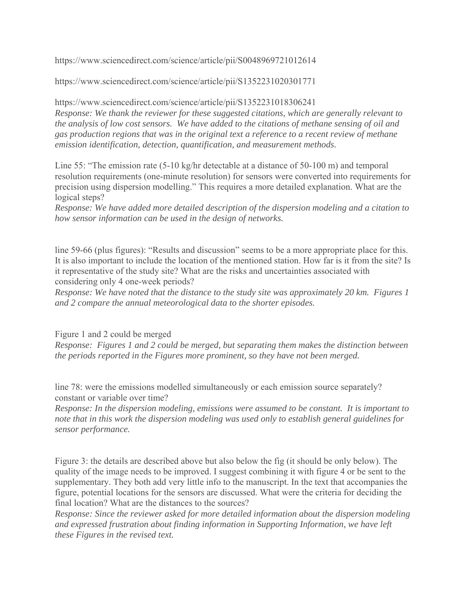https://www.sciencedirect.com/science/article/pii/S0048969721012614

https://www.sciencedirect.com/science/article/pii/S1352231020301771

https://www.sciencedirect.com/science/article/pii/S1352231018306241 *Response: We thank the reviewer for these suggested citations, which are generally relevant to the analysis of low cost sensors. We have added to the citations of methane sensing of oil and gas production regions that was in the original text a reference to a recent review of methane emission identification, detection, quantification, and measurement methods.* 

Line 55: "The emission rate (5-10 kg/hr detectable at a distance of 50-100 m) and temporal resolution requirements (one-minute resolution) for sensors were converted into requirements for precision using dispersion modelling." This requires a more detailed explanation. What are the logical steps?

*Response: We have added more detailed description of the dispersion modeling and a citation to how sensor information can be used in the design of networks.* 

line 59-66 (plus figures): "Results and discussion" seems to be a more appropriate place for this. It is also important to include the location of the mentioned station. How far is it from the site? Is it representative of the study site? What are the risks and uncertainties associated with considering only 4 one-week periods?

*Response: We have noted that the distance to the study site was approximately 20 km. Figures 1 and 2 compare the annual meteorological data to the shorter episodes.* 

Figure 1 and 2 could be merged

*Response: Figures 1 and 2 could be merged, but separating them makes the distinction between the periods reported in the Figures more prominent, so they have not been merged.*

line 78: were the emissions modelled simultaneously or each emission source separately? constant or variable over time?

*Response: In the dispersion modeling, emissions were assumed to be constant. It is important to note that in this work the dispersion modeling was used only to establish general guidelines for sensor performance.* 

Figure 3: the details are described above but also below the fig (it should be only below). The quality of the image needs to be improved. I suggest combining it with figure 4 or be sent to the supplementary. They both add very little info to the manuscript. In the text that accompanies the figure, potential locations for the sensors are discussed. What were the criteria for deciding the final location? What are the distances to the sources?

*Response: Since the reviewer asked for more detailed information about the dispersion modeling and expressed frustration about finding information in Supporting Information, we have left these Figures in the revised text.*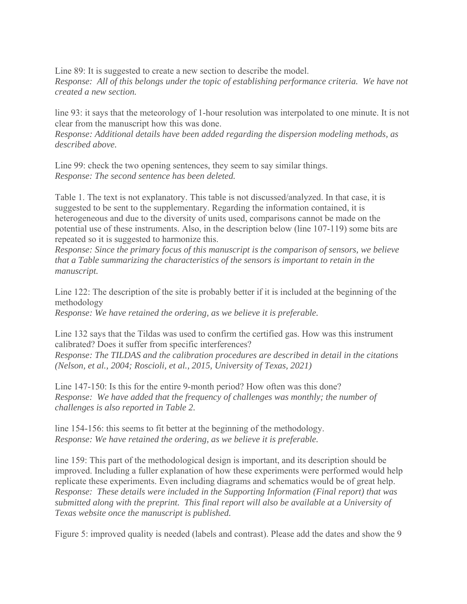Line 89: It is suggested to create a new section to describe the model. *Response: All of this belongs under the topic of establishing performance criteria. We have not created a new section.*

line 93: it says that the meteorology of 1-hour resolution was interpolated to one minute. It is not clear from the manuscript how this was done.

*Response: Additional details have been added regarding the dispersion modeling methods, as described above.*

Line 99: check the two opening sentences, they seem to say similar things. *Response: The second sentence has been deleted.* 

Table 1. The text is not explanatory. This table is not discussed/analyzed. In that case, it is suggested to be sent to the supplementary. Regarding the information contained, it is heterogeneous and due to the diversity of units used, comparisons cannot be made on the potential use of these instruments. Also, in the description below (line 107-119) some bits are repeated so it is suggested to harmonize this.

*Response: Since the primary focus of this manuscript is the comparison of sensors, we believe that a Table summarizing the characteristics of the sensors is important to retain in the manuscript.* 

Line 122: The description of the site is probably better if it is included at the beginning of the methodology *Response: We have retained the ordering, as we believe it is preferable.* 

Line 132 says that the Tildas was used to confirm the certified gas. How was this instrument calibrated? Does it suffer from specific interferences?

*Response: The TILDAS and the calibration procedures are described in detail in the citations (Nelson, et al., 2004; Roscioli, et al., 2015, University of Texas, 2021)* 

Line 147-150: Is this for the entire 9-month period? How often was this done? *Response: We have added that the frequency of challenges was monthly; the number of challenges is also reported in Table 2.* 

line 154-156: this seems to fit better at the beginning of the methodology. *Response: We have retained the ordering, as we believe it is preferable.* 

line 159: This part of the methodological design is important, and its description should be improved. Including a fuller explanation of how these experiments were performed would help replicate these experiments. Even including diagrams and schematics would be of great help. *Response: These details were included in the Supporting Information (Final report) that was submitted along with the preprint. This final report will also be available at a University of Texas website once the manuscript is published.* 

Figure 5: improved quality is needed (labels and contrast). Please add the dates and show the 9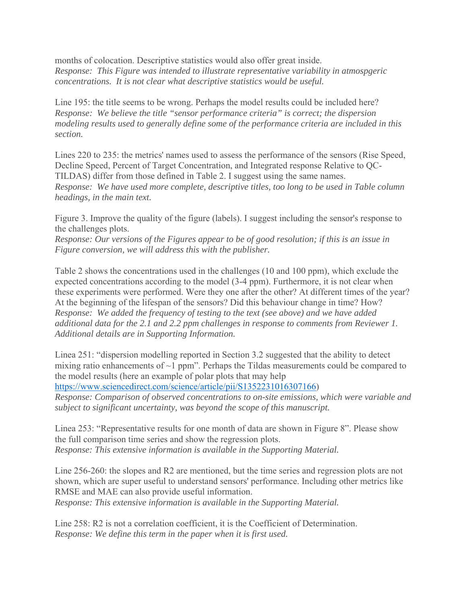months of colocation. Descriptive statistics would also offer great inside. *Response: This Figure was intended to illustrate representative variability in atmospgeric concentrations. It is not clear what descriptive statistics would be useful.* 

Line 195: the title seems to be wrong. Perhaps the model results could be included here? *Response: We believe the title "sensor performance criteria" is correct; the dispersion modeling results used to generally define some of the performance criteria are included in this section.* 

Lines 220 to 235: the metrics' names used to assess the performance of the sensors (Rise Speed, Decline Speed, Percent of Target Concentration, and Integrated response Relative to QC-TILDAS) differ from those defined in Table 2. I suggest using the same names. *Response: We have used more complete, descriptive titles, too long to be used in Table column headings, in the main text.* 

Figure 3. Improve the quality of the figure (labels). I suggest including the sensor's response to the challenges plots.

*Response: Our versions of the Figures appear to be of good resolution; if this is an issue in Figure conversion, we will address this with the publisher.* 

Table 2 shows the concentrations used in the challenges (10 and 100 ppm), which exclude the expected concentrations according to the model (3-4 ppm). Furthermore, it is not clear when these experiments were performed. Were they one after the other? At different times of the year? At the beginning of the lifespan of the sensors? Did this behaviour change in time? How? *Response: We added the frequency of testing to the text (see above) and we have added additional data for the 2.1 and 2.2 ppm challenges in response to comments from Reviewer 1. Additional details are in Supporting Information.*

Linea 251: "dispersion modelling reported in Section 3.2 suggested that the ability to detect mixing ratio enhancements of  $\sim$ 1 ppm". Perhaps the Tildas measurements could be compared to the model results (here an example of polar plots that may help

https://www.sciencedirect.com/science/article/pii/S1352231016307166)

*Response: Comparison of observed concentrations to on-site emissions, which were variable and subject to significant uncertainty, was beyond the scope of this manuscript.*

Linea 253: "Representative results for one month of data are shown in Figure 8". Please show the full comparison time series and show the regression plots. *Response: This extensive information is available in the Supporting Material.* 

Line 256-260: the slopes and R2 are mentioned, but the time series and regression plots are not shown, which are super useful to understand sensors' performance. Including other metrics like RMSE and MAE can also provide useful information.

*Response: This extensive information is available in the Supporting Material.*

Line 258: R2 is not a correlation coefficient, it is the Coefficient of Determination. *Response: We define this term in the paper when it is first used.*